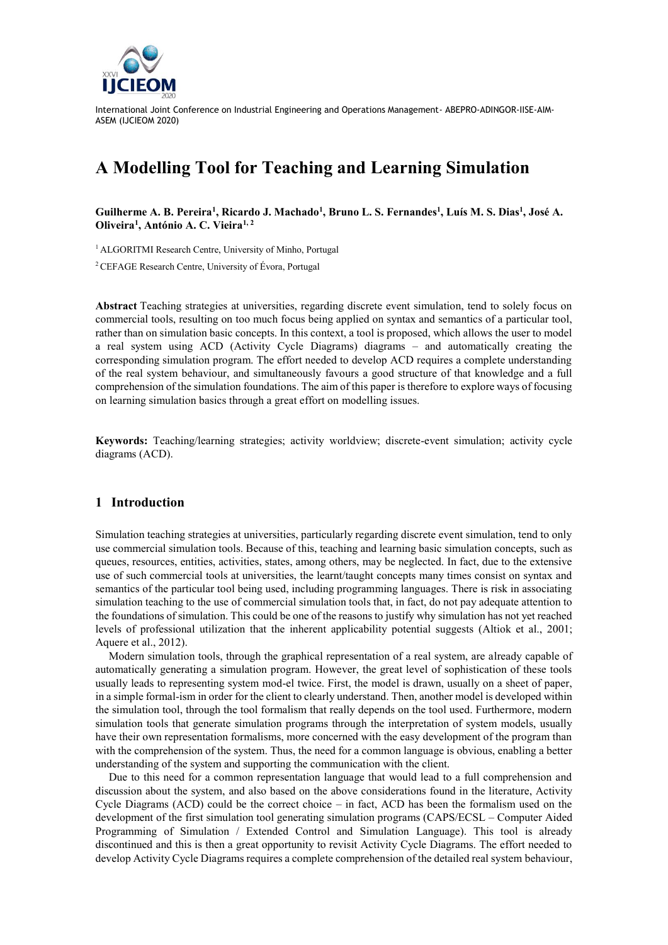

# **A Modelling Tool for Teaching and Learning Simulation**

**Guilherme A. B. Pereira<sup>1</sup> , Ricardo J. Machado<sup>1</sup> , Bruno L. S. Fernandes<sup>1</sup> , Luís M. S. Dias<sup>1</sup> , José A. Oliveira<sup>1</sup> , António A. C. Vieira1, 2**

<sup>1</sup> ALGORITMI Research Centre, University of Minho, Portugal

<sup>2</sup>CEFAGE Research Centre, University of Évora, Portugal

**Abstract** Teaching strategies at universities, regarding discrete event simulation, tend to solely focus on commercial tools, resulting on too much focus being applied on syntax and semantics of a particular tool, rather than on simulation basic concepts. In this context, a tool is proposed, which allows the user to model a real system using ACD (Activity Cycle Diagrams) diagrams – and automatically creating the corresponding simulation program. The effort needed to develop ACD requires a complete understanding of the real system behaviour, and simultaneously favours a good structure of that knowledge and a full comprehension of the simulation foundations. The aim of this paper is therefore to explore ways of focusing on learning simulation basics through a great effort on modelling issues.

**Keywords:** Teaching/learning strategies; activity worldview; discrete-event simulation; activity cycle diagrams (ACD).

#### **1 Introduction**

Simulation teaching strategies at universities, particularly regarding discrete event simulation, tend to only use commercial simulation tools. Because of this, teaching and learning basic simulation concepts, such as queues, resources, entities, activities, states, among others, may be neglected. In fact, due to the extensive use of such commercial tools at universities, the learnt/taught concepts many times consist on syntax and semantics of the particular tool being used, including programming languages. There is risk in associating simulation teaching to the use of commercial simulation tools that, in fact, do not pay adequate attention to the foundations of simulation. This could be one of the reasons to justify why simulation has not yet reached levels of professional utilization that the inherent applicability potential suggests (Altiok et al., 2001; Aquere et al., 2012).

Modern simulation tools, through the graphical representation of a real system, are already capable of automatically generating a simulation program. However, the great level of sophistication of these tools usually leads to representing system mod-el twice. First, the model is drawn, usually on a sheet of paper, in a simple formal-ism in order for the client to clearly understand. Then, another model is developed within the simulation tool, through the tool formalism that really depends on the tool used. Furthermore, modern simulation tools that generate simulation programs through the interpretation of system models, usually have their own representation formalisms, more concerned with the easy development of the program than with the comprehension of the system. Thus, the need for a common language is obvious, enabling a better understanding of the system and supporting the communication with the client.

Due to this need for a common representation language that would lead to a full comprehension and discussion about the system, and also based on the above considerations found in the literature, Activity Cycle Diagrams (ACD) could be the correct choice – in fact, ACD has been the formalism used on the development of the first simulation tool generating simulation programs (CAPS/ECSL – Computer Aided Programming of Simulation / Extended Control and Simulation Language). This tool is already discontinued and this is then a great opportunity to revisit Activity Cycle Diagrams. The effort needed to develop Activity Cycle Diagrams requires a complete comprehension of the detailed real system behaviour,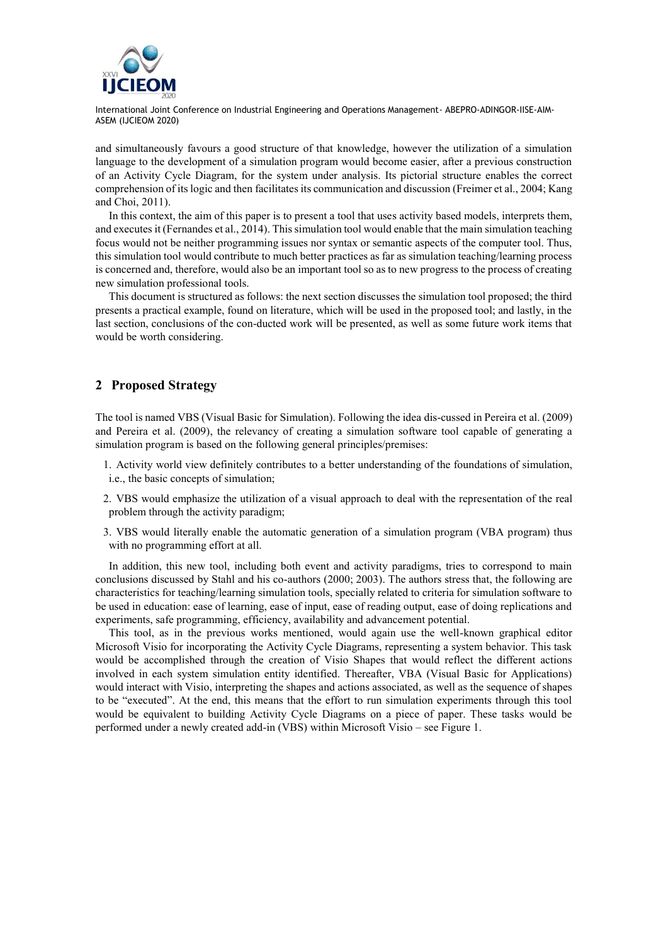

and simultaneously favours a good structure of that knowledge, however the utilization of a simulation language to the development of a simulation program would become easier, after a previous construction of an Activity Cycle Diagram, for the system under analysis. Its pictorial structure enables the correct comprehension of its logic and then facilitatesits communication and discussion (Freimer et al., 2004; Kang and Choi, 2011).

In this context, the aim of this paper is to present a tool that uses activity based models, interprets them, and executes it (Fernandes et al., 2014). This simulation tool would enable that the main simulation teaching focus would not be neither programming issues nor syntax or semantic aspects of the computer tool. Thus, this simulation tool would contribute to much better practices as far as simulation teaching/learning process is concerned and, therefore, would also be an important tool so as to new progress to the process of creating new simulation professional tools.

This document is structured as follows: the next section discusses the simulation tool proposed; the third presents a practical example, found on literature, which will be used in the proposed tool; and lastly, in the last section, conclusions of the con-ducted work will be presented, as well as some future work items that would be worth considering.

## **2 Proposed Strategy**

The tool is named VBS (Visual Basic for Simulation). Following the idea dis-cussed in Pereira et al. (2009) and Pereira et al. (2009), the relevancy of creating a simulation software tool capable of generating a simulation program is based on the following general principles/premises:

- 1. Activity world view definitely contributes to a better understanding of the foundations of simulation, i.e., the basic concepts of simulation;
- 2. VBS would emphasize the utilization of a visual approach to deal with the representation of the real problem through the activity paradigm;
- 3. VBS would literally enable the automatic generation of a simulation program (VBA program) thus with no programming effort at all.

In addition, this new tool, including both event and activity paradigms, tries to correspond to main conclusions discussed by Stahl and his co-authors (2000; 2003). The authors stress that, the following are characteristics for teaching/learning simulation tools, specially related to criteria for simulation software to be used in education: ease of learning, ease of input, ease of reading output, ease of doing replications and experiments, safe programming, efficiency, availability and advancement potential.

This tool, as in the previous works mentioned, would again use the well-known graphical editor Microsoft Visio for incorporating the Activity Cycle Diagrams, representing a system behavior. This task would be accomplished through the creation of Visio Shapes that would reflect the different actions involved in each system simulation entity identified. Thereafter, VBA (Visual Basic for Applications) would interact with Visio, interpreting the shapes and actions associated, as well as the sequence of shapes to be "executed". At the end, this means that the effort to run simulation experiments through this tool would be equivalent to building Activity Cycle Diagrams on a piece of paper. These tasks would be performed under a newly created add-in (VBS) within Microsoft Visio – see Figure 1.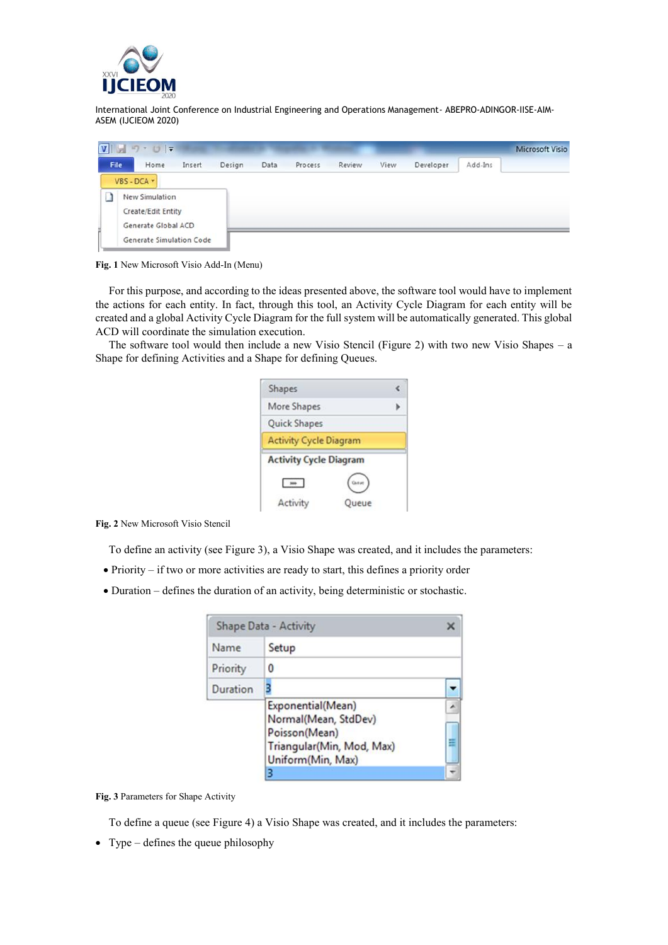

|      | $V  H $ $9 - 0$ $ z $                                                      |        |        |      |         |        |      |           |         | <b>Microsoft Visio</b> |
|------|----------------------------------------------------------------------------|--------|--------|------|---------|--------|------|-----------|---------|------------------------|
| File | Home                                                                       | Insert | Design | Data | Process | Review | View | Developer | Add-Ins |                        |
| ⅎ    | VBS - DCA +<br>New Simulation<br>Create/Edit Entity<br>Generate Global ACD |        |        |      |         |        |      |           |         |                        |
|      | Generate Simulation Code                                                   |        |        |      |         |        |      |           |         |                        |

**Fig. 1** New Microsoft Visio Add-In (Menu)

For this purpose, and according to the ideas presented above, the software tool would have to implement the actions for each entity. In fact, through this tool, an Activity Cycle Diagram for each entity will be created and a global Activity Cycle Diagram for the full system will be automatically generated. This global ACD will coordinate the simulation execution.

The software tool would then include a new Visio Stencil (Figure 2) with two new Visio Shapes – a Shape for defining Activities and a Shape for defining Queues.

| <b>Shapes</b>                 |       |
|-------------------------------|-------|
| More Shapes                   |       |
| Quick Shapes                  |       |
| <b>Activity Cycle Diagram</b> |       |
| <b>Activity Cycle Diagram</b> |       |
| 3000                          |       |
| Activity                      | Jueue |

**Fig. 2** New Microsoft Visio Stencil

To define an activity (see Figure 3), a Visio Shape was created, and it includes the parameters:

- Priority if two or more activities are ready to start, this defines a priority order
- Duration defines the duration of an activity, being deterministic or stochastic.

| Shape Data - Activity |                                                                                                              |   |
|-----------------------|--------------------------------------------------------------------------------------------------------------|---|
| Name                  | Setup                                                                                                        |   |
| Priority              | 0                                                                                                            |   |
| Duration              |                                                                                                              |   |
|                       | Exponential(Mean)<br>Normal(Mean, StdDev)<br>Poisson(Mean)<br>Triangular(Min, Mod, Max)<br>Uniform(Min, Max) | Ξ |
|                       | з                                                                                                            |   |

**Fig. 3** Parameters for Shape Activity

To define a queue (see Figure 4) a Visio Shape was created, and it includes the parameters:

• Type – defines the queue philosophy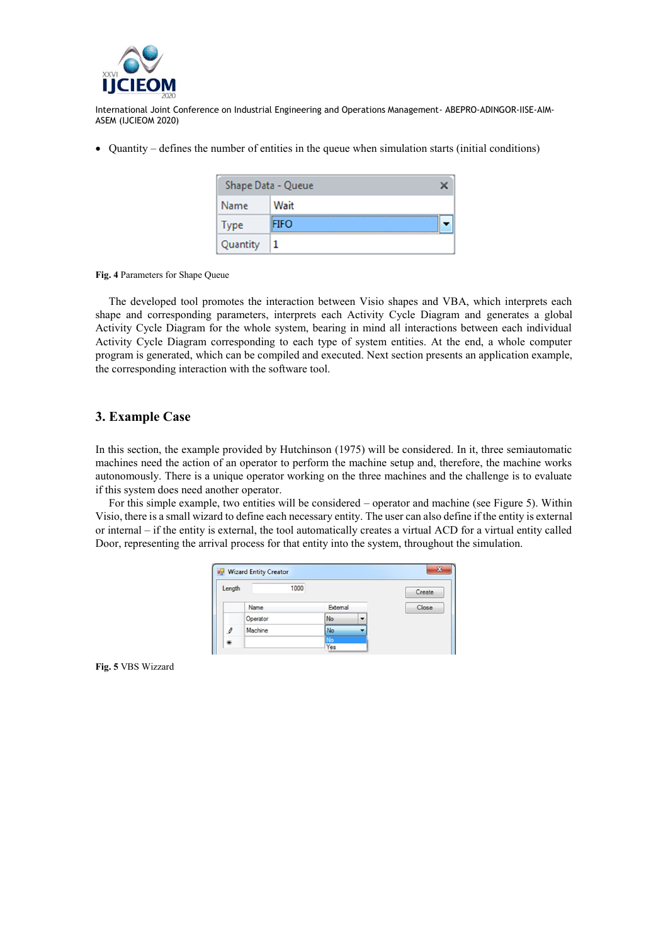

Quantity – defines the number of entities in the queue when simulation starts (initial conditions)

|          | Shape Data - Queue |
|----------|--------------------|
| Name     | Wait               |
| Type     | FIFO               |
| Quantity |                    |

#### **Fig. 4** Parameters for Shape Queue

The developed tool promotes the interaction between Visio shapes and VBA, which interprets each shape and corresponding parameters, interprets each Activity Cycle Diagram and generates a global Activity Cycle Diagram for the whole system, bearing in mind all interactions between each individual Activity Cycle Diagram corresponding to each type of system entities. At the end, a whole computer program is generated, which can be compiled and executed. Next section presents an application example, the corresponding interaction with the software tool.

#### **3. Example Case**

In this section, the example provided by Hutchinson (1975) will be considered. In it, three semiautomatic machines need the action of an operator to perform the machine setup and, therefore, the machine works autonomously. There is a unique operator working on the three machines and the challenge is to evaluate if this system does need another operator.

For this simple example, two entities will be considered – operator and machine (see Figure 5). Within Visio, there is a small wizard to define each necessary entity. The user can also define if the entity is external or internal – if the entity is external, the tool automatically creates a virtual ACD for a virtual entity called Door, representing the arrival process for that entity into the system, throughout the simulation.

| Length | 1000        |           |                          | Create |
|--------|-------------|-----------|--------------------------|--------|
|        | <b>Name</b> | External  |                          | Close  |
|        | Operator    | No        | $\overline{\phantom{0}}$ |        |
|        | Machine     | <b>No</b> |                          |        |
| $\ast$ |             | NO<br>Yes |                          |        |

**Fig. 5** VBS Wizzard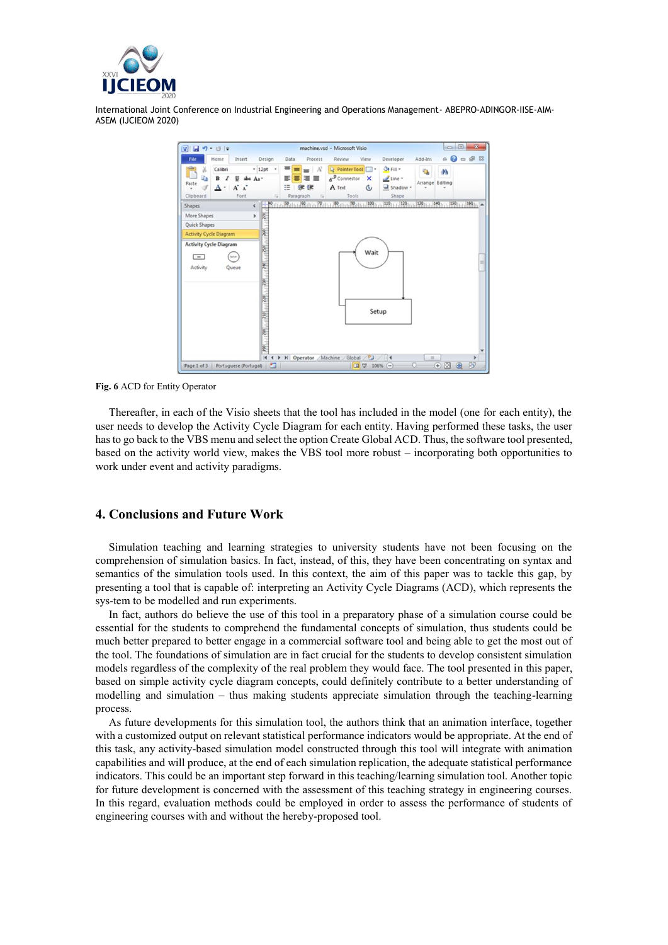



**Fig. 6** ACD for Entity Operator

Thereafter, in each of the Visio sheets that the tool has included in the model (one for each entity), the user needs to develop the Activity Cycle Diagram for each entity. Having performed these tasks, the user has to go back to the VBS menu and select the option Create Global ACD. Thus, the software tool presented, based on the activity world view, makes the VBS tool more robust – incorporating both opportunities to work under event and activity paradigms.

#### **4. Conclusions and Future Work**

Simulation teaching and learning strategies to university students have not been focusing on the comprehension of simulation basics. In fact, instead, of this, they have been concentrating on syntax and semantics of the simulation tools used. In this context, the aim of this paper was to tackle this gap, by presenting a tool that is capable of: interpreting an Activity Cycle Diagrams (ACD), which represents the sys-tem to be modelled and run experiments.

In fact, authors do believe the use of this tool in a preparatory phase of a simulation course could be essential for the students to comprehend the fundamental concepts of simulation, thus students could be much better prepared to better engage in a commercial software tool and being able to get the most out of the tool. The foundations of simulation are in fact crucial for the students to develop consistent simulation models regardless of the complexity of the real problem they would face. The tool presented in this paper, based on simple activity cycle diagram concepts, could definitely contribute to a better understanding of modelling and simulation – thus making students appreciate simulation through the teaching-learning process.

As future developments for this simulation tool, the authors think that an animation interface, together with a customized output on relevant statistical performance indicators would be appropriate. At the end of this task, any activity-based simulation model constructed through this tool will integrate with animation capabilities and will produce, at the end of each simulation replication, the adequate statistical performance indicators. This could be an important step forward in this teaching/learning simulation tool. Another topic for future development is concerned with the assessment of this teaching strategy in engineering courses. In this regard, evaluation methods could be employed in order to assess the performance of students of engineering courses with and without the hereby-proposed tool.